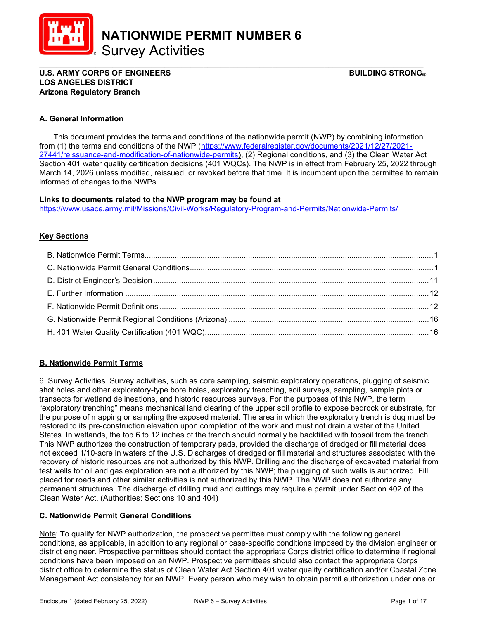

U.S. ARMY CORPS OF ENGINEERS BUILDING STRONG® LOS ANGELES DISTRICT Arizona Regulatory Branch

### A. General Information

 This document provides the terms and conditions of the nationwide permit (NWP) by combining information from (1) the terms and conditions of the NWP (https://www.federalregister.gov/documents/2021/12/27/2021- 27441/reissuance-and-modification-of-nationwide-permits), (2) Regional conditions, and (3) the Clean Water Act Section 401 water quality certification decisions (401 WQCs). The NWP is in effect from February 25, 2022 through March 14, 2026 unless modified, reissued, or revoked before that time. It is incumbent upon the permittee to remain informed of changes to the NWPs.

#### Links to documents related to the NWP program may be found at

https://www.usace.army.mil/Missions/Civil-Works/Regulatory-Program-and-Permits/Nationwide-Permits/

### **Key Sections**

# B. Nationwide Permit Terms

6. Survey Activities. Survey activities, such as core sampling, seismic exploratory operations, plugging of seismic shot holes and other exploratory-type bore holes, exploratory trenching, soil surveys, sampling, sample plots or transects for wetland delineations, and historic resources surveys. For the purposes of this NWP, the term "exploratory trenching" means mechanical land clearing of the upper soil profile to expose bedrock or substrate, for the purpose of mapping or sampling the exposed material. The area in which the exploratory trench is dug must be restored to its pre-construction elevation upon completion of the work and must not drain a water of the United States. In wetlands, the top 6 to 12 inches of the trench should normally be backfilled with topsoil from the trench. This NWP authorizes the construction of temporary pads, provided the discharge of dredged or fill material does not exceed 1/10-acre in waters of the U.S. Discharges of dredged or fill material and structures associated with the recovery of historic resources are not authorized by this NWP. Drilling and the discharge of excavated material from test wells for oil and gas exploration are not authorized by this NWP; the plugging of such wells is authorized. Fill placed for roads and other similar activities is not authorized by this NWP. The NWP does not authorize any permanent structures. The discharge of drilling mud and cuttings may require a permit under Section 402 of the Clean Water Act. (Authorities: Sections 10 and 404)

#### C. Nationwide Permit General Conditions

Note: To qualify for NWP authorization, the prospective permittee must comply with the following general conditions, as applicable, in addition to any regional or case-specific conditions imposed by the division engineer or district engineer. Prospective permittees should contact the appropriate Corps district office to determine if regional conditions have been imposed on an NWP. Prospective permittees should also contact the appropriate Corps district office to determine the status of Clean Water Act Section 401 water quality certification and/or Coastal Zone Management Act consistency for an NWP. Every person who may wish to obtain permit authorization under one or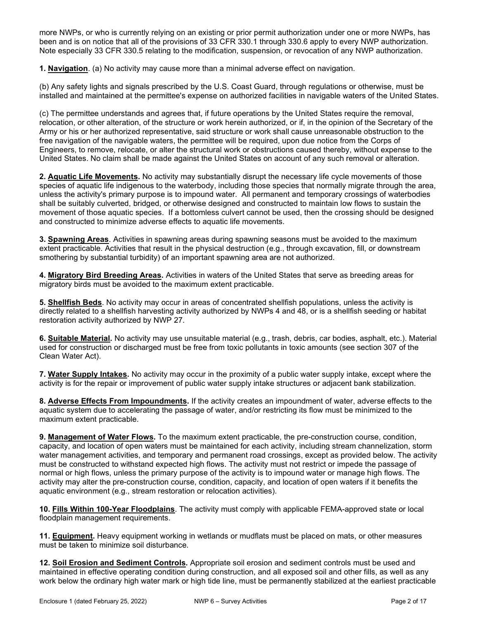more NWPs, or who is currently relying on an existing or prior permit authorization under one or more NWPs, has been and is on notice that all of the provisions of 33 CFR 330.1 through 330.6 apply to every NWP authorization. Note especially 33 CFR 330.5 relating to the modification, suspension, or revocation of any NWP authorization.

1. Navigation. (a) No activity may cause more than a minimal adverse effect on navigation.

(b) Any safety lights and signals prescribed by the U.S. Coast Guard, through regulations or otherwise, must be installed and maintained at the permittee's expense on authorized facilities in navigable waters of the United States.

(c) The permittee understands and agrees that, if future operations by the United States require the removal, relocation, or other alteration, of the structure or work herein authorized, or if, in the opinion of the Secretary of the Army or his or her authorized representative, said structure or work shall cause unreasonable obstruction to the free navigation of the navigable waters, the permittee will be required, upon due notice from the Corps of Engineers, to remove, relocate, or alter the structural work or obstructions caused thereby, without expense to the United States. No claim shall be made against the United States on account of any such removal or alteration.

2. Aquatic Life Movements. No activity may substantially disrupt the necessary life cycle movements of those species of aquatic life indigenous to the waterbody, including those species that normally migrate through the area, unless the activity's primary purpose is to impound water. All permanent and temporary crossings of waterbodies shall be suitably culverted, bridged, or otherwise designed and constructed to maintain low flows to sustain the movement of those aquatic species. If a bottomless culvert cannot be used, then the crossing should be designed and constructed to minimize adverse effects to aquatic life movements.

3. Spawning Areas. Activities in spawning areas during spawning seasons must be avoided to the maximum extent practicable. Activities that result in the physical destruction (e.g., through excavation, fill, or downstream smothering by substantial turbidity) of an important spawning area are not authorized.

4. Migratory Bird Breeding Areas. Activities in waters of the United States that serve as breeding areas for migratory birds must be avoided to the maximum extent practicable.

5. Shellfish Beds. No activity may occur in areas of concentrated shellfish populations, unless the activity is directly related to a shellfish harvesting activity authorized by NWPs 4 and 48, or is a shellfish seeding or habitat restoration activity authorized by NWP 27.

6. Suitable Material. No activity may use unsuitable material (e.g., trash, debris, car bodies, asphalt, etc.). Material used for construction or discharged must be free from toxic pollutants in toxic amounts (see section 307 of the Clean Water Act).

7. Water Supply Intakes. No activity may occur in the proximity of a public water supply intake, except where the activity is for the repair or improvement of public water supply intake structures or adjacent bank stabilization.

8. Adverse Effects From Impoundments. If the activity creates an impoundment of water, adverse effects to the aquatic system due to accelerating the passage of water, and/or restricting its flow must be minimized to the maximum extent practicable.

9. Management of Water Flows. To the maximum extent practicable, the pre-construction course, condition, capacity, and location of open waters must be maintained for each activity, including stream channelization, storm water management activities, and temporary and permanent road crossings, except as provided below. The activity must be constructed to withstand expected high flows. The activity must not restrict or impede the passage of normal or high flows, unless the primary purpose of the activity is to impound water or manage high flows. The activity may alter the pre-construction course, condition, capacity, and location of open waters if it benefits the aquatic environment (e.g., stream restoration or relocation activities).

10. Fills Within 100-Year Floodplains. The activity must comply with applicable FEMA-approved state or local floodplain management requirements.

11. Equipment. Heavy equipment working in wetlands or mudflats must be placed on mats, or other measures must be taken to minimize soil disturbance.

12. Soil Erosion and Sediment Controls. Appropriate soil erosion and sediment controls must be used and maintained in effective operating condition during construction, and all exposed soil and other fills, as well as any work below the ordinary high water mark or high tide line, must be permanently stabilized at the earliest practicable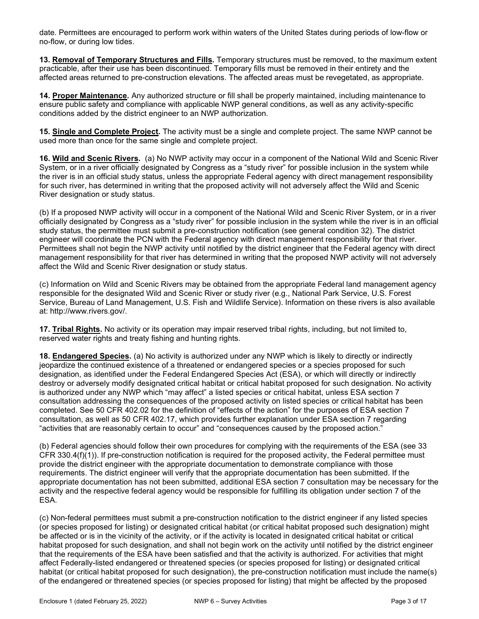date. Permittees are encouraged to perform work within waters of the United States during periods of low-flow or no-flow, or during low tides.

13. Removal of Temporary Structures and Fills. Temporary structures must be removed, to the maximum extent practicable, after their use has been discontinued. Temporary fills must be removed in their entirety and the affected areas returned to pre-construction elevations. The affected areas must be revegetated, as appropriate.

14. Proper Maintenance. Any authorized structure or fill shall be properly maintained, including maintenance to ensure public safety and compliance with applicable NWP general conditions, as well as any activity-specific conditions added by the district engineer to an NWP authorization.

15. Single and Complete Project. The activity must be a single and complete project. The same NWP cannot be used more than once for the same single and complete project.

16. Wild and Scenic Rivers. (a) No NWP activity may occur in a component of the National Wild and Scenic River System, or in a river officially designated by Congress as a "study river" for possible inclusion in the system while the river is in an official study status, unless the appropriate Federal agency with direct management responsibility for such river, has determined in writing that the proposed activity will not adversely affect the Wild and Scenic River designation or study status.

(b) If a proposed NWP activity will occur in a component of the National Wild and Scenic River System, or in a river officially designated by Congress as a "study river" for possible inclusion in the system while the river is in an official study status, the permittee must submit a pre-construction notification (see general condition 32). The district engineer will coordinate the PCN with the Federal agency with direct management responsibility for that river. Permittees shall not begin the NWP activity until notified by the district engineer that the Federal agency with direct management responsibility for that river has determined in writing that the proposed NWP activity will not adversely affect the Wild and Scenic River designation or study status.

(c) Information on Wild and Scenic Rivers may be obtained from the appropriate Federal land management agency responsible for the designated Wild and Scenic River or study river (e.g., National Park Service, U.S. Forest Service, Bureau of Land Management, U.S. Fish and Wildlife Service). Information on these rivers is also available at: http://www.rivers.gov/.

17. Tribal Rights. No activity or its operation may impair reserved tribal rights, including, but not limited to, reserved water rights and treaty fishing and hunting rights.

18. Endangered Species. (a) No activity is authorized under any NWP which is likely to directly or indirectly jeopardize the continued existence of a threatened or endangered species or a species proposed for such designation, as identified under the Federal Endangered Species Act (ESA), or which will directly or indirectly destroy or adversely modify designated critical habitat or critical habitat proposed for such designation. No activity is authorized under any NWP which "may affect" a listed species or critical habitat, unless ESA section 7 consultation addressing the consequences of the proposed activity on listed species or critical habitat has been completed. See 50 CFR 402.02 for the definition of "effects of the action" for the purposes of ESA section 7 consultation, as well as 50 CFR 402.17, which provides further explanation under ESA section 7 regarding "activities that are reasonably certain to occur" and "consequences caused by the proposed action."

(b) Federal agencies should follow their own procedures for complying with the requirements of the ESA (see 33 CFR 330.4(f)(1)). If pre-construction notification is required for the proposed activity, the Federal permittee must provide the district engineer with the appropriate documentation to demonstrate compliance with those requirements. The district engineer will verify that the appropriate documentation has been submitted. If the appropriate documentation has not been submitted, additional ESA section 7 consultation may be necessary for the activity and the respective federal agency would be responsible for fulfilling its obligation under section 7 of the ESA.

(c) Non-federal permittees must submit a pre-construction notification to the district engineer if any listed species (or species proposed for listing) or designated critical habitat (or critical habitat proposed such designation) might be affected or is in the vicinity of the activity, or if the activity is located in designated critical habitat or critical habitat proposed for such designation, and shall not begin work on the activity until notified by the district engineer that the requirements of the ESA have been satisfied and that the activity is authorized. For activities that might affect Federally-listed endangered or threatened species (or species proposed for listing) or designated critical habitat (or critical habitat proposed for such designation), the pre-construction notification must include the name(s) of the endangered or threatened species (or species proposed for listing) that might be affected by the proposed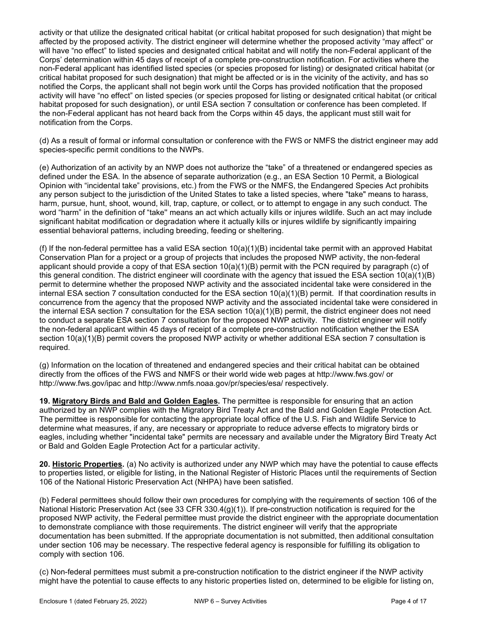activity or that utilize the designated critical habitat (or critical habitat proposed for such designation) that might be affected by the proposed activity. The district engineer will determine whether the proposed activity "may affect" or will have "no effect" to listed species and designated critical habitat and will notify the non-Federal applicant of the Corps' determination within 45 days of receipt of a complete pre-construction notification. For activities where the non-Federal applicant has identified listed species (or species proposed for listing) or designated critical habitat (or critical habitat proposed for such designation) that might be affected or is in the vicinity of the activity, and has so notified the Corps, the applicant shall not begin work until the Corps has provided notification that the proposed activity will have "no effect" on listed species (or species proposed for listing or designated critical habitat (or critical habitat proposed for such designation), or until ESA section 7 consultation or conference has been completed. If the non-Federal applicant has not heard back from the Corps within 45 days, the applicant must still wait for notification from the Corps.

(d) As a result of formal or informal consultation or conference with the FWS or NMFS the district engineer may add species-specific permit conditions to the NWPs.

(e) Authorization of an activity by an NWP does not authorize the "take" of a threatened or endangered species as defined under the ESA. In the absence of separate authorization (e.g., an ESA Section 10 Permit, a Biological Opinion with "incidental take" provisions, etc.) from the FWS or the NMFS, the Endangered Species Act prohibits any person subject to the jurisdiction of the United States to take a listed species, where "take" means to harass, harm, pursue, hunt, shoot, wound, kill, trap, capture, or collect, or to attempt to engage in any such conduct. The word "harm" in the definition of "take'' means an act which actually kills or injures wildlife. Such an act may include significant habitat modification or degradation where it actually kills or injures wildlife by significantly impairing essential behavioral patterns, including breeding, feeding or sheltering.

(f) If the non-federal permittee has a valid ESA section  $10(a)(1)(B)$  incidental take permit with an approved Habitat Conservation Plan for a project or a group of projects that includes the proposed NWP activity, the non-federal applicant should provide a copy of that ESA section  $10(a)(1)(B)$  permit with the PCN required by paragraph (c) of this general condition. The district engineer will coordinate with the agency that issued the ESA section 10(a)(1)(B) permit to determine whether the proposed NWP activity and the associated incidental take were considered in the internal ESA section 7 consultation conducted for the ESA section 10(a)(1)(B) permit. If that coordination results in concurrence from the agency that the proposed NWP activity and the associated incidental take were considered in the internal ESA section 7 consultation for the ESA section 10(a)(1)(B) permit, the district engineer does not need to conduct a separate ESA section 7 consultation for the proposed NWP activity. The district engineer will notify the non-federal applicant within 45 days of receipt of a complete pre-construction notification whether the ESA section 10(a)(1)(B) permit covers the proposed NWP activity or whether additional ESA section 7 consultation is required.

(g) Information on the location of threatened and endangered species and their critical habitat can be obtained directly from the offices of the FWS and NMFS or their world wide web pages at http://www.fws.gov/ or http://www.fws.gov/ipac and http://www.nmfs.noaa.gov/pr/species/esa/ respectively.

19. Migratory Birds and Bald and Golden Eagles. The permittee is responsible for ensuring that an action authorized by an NWP complies with the Migratory Bird Treaty Act and the Bald and Golden Eagle Protection Act. The permittee is responsible for contacting the appropriate local office of the U.S. Fish and Wildlife Service to determine what measures, if any, are necessary or appropriate to reduce adverse effects to migratory birds or eagles, including whether "incidental take" permits are necessary and available under the Migratory Bird Treaty Act or Bald and Golden Eagle Protection Act for a particular activity.

20. Historic Properties. (a) No activity is authorized under any NWP which may have the potential to cause effects to properties listed, or eligible for listing, in the National Register of Historic Places until the requirements of Section 106 of the National Historic Preservation Act (NHPA) have been satisfied.

(b) Federal permittees should follow their own procedures for complying with the requirements of section 106 of the National Historic Preservation Act (see 33 CFR 330.4(g)(1)). If pre-construction notification is required for the proposed NWP activity, the Federal permittee must provide the district engineer with the appropriate documentation to demonstrate compliance with those requirements. The district engineer will verify that the appropriate documentation has been submitted. If the appropriate documentation is not submitted, then additional consultation under section 106 may be necessary. The respective federal agency is responsible for fulfilling its obligation to comply with section 106.

(c) Non-federal permittees must submit a pre-construction notification to the district engineer if the NWP activity might have the potential to cause effects to any historic properties listed on, determined to be eligible for listing on,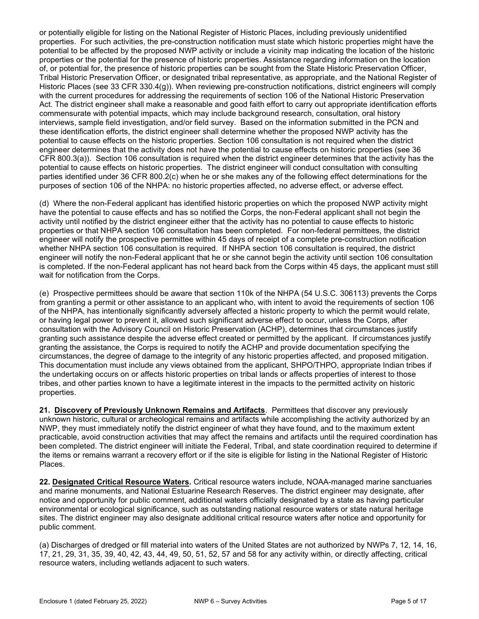or potentially eligible for listing on the National Register of Historic Places, including previously unidentified properties. For such activities, the pre-construction notification must state which historic properties might have the potential to be affected by the proposed NWP activity or include a vicinity map indicating the location of the historic properties or the potential for the presence of historic properties. Assistance regarding information on the location of, or potential for, the presence of historic properties can be sought from the State Historic Preservation Officer, Tribal Historic Preservation Officer, or designated tribal representative, as appropriate, and the National Register of Historic Places (see 33 CFR 330.4(g)). When reviewing pre-construction notifications, district engineers will comply with the current procedures for addressing the requirements of section 106 of the National Historic Preservation Act. The district engineer shall make a reasonable and good faith effort to carry out appropriate identification efforts commensurate with potential impacts, which may include background research, consultation, oral history interviews, sample field investigation, and/or field survey. Based on the information submitted in the PCN and these identification efforts, the district engineer shall determine whether the proposed NWP activity has the potential to cause effects on the historic properties. Section 106 consultation is not required when the district engineer determines that the activity does not have the potential to cause effects on historic properties (see 36 CFR 800.3(a)). Section 106 consultation is required when the district engineer determines that the activity has the potential to cause effects on historic properties. The district engineer will conduct consultation with consulting parties identified under 36 CFR 800.2(c) when he or she makes any of the following effect determinations for the purposes of section 106 of the NHPA: no historic properties affected, no adverse effect, or adverse effect.

(d) Where the non-Federal applicant has identified historic properties on which the proposed NWP activity might have the potential to cause effects and has so notified the Corps, the non-Federal applicant shall not begin the activity until notified by the district engineer either that the activity has no potential to cause effects to historic properties or that NHPA section 106 consultation has been completed. For non-federal permittees, the district engineer will notify the prospective permittee within 45 days of receipt of a complete pre-construction notification whether NHPA section 106 consultation is required. If NHPA section 106 consultation is required, the district engineer will notify the non-Federal applicant that he or she cannot begin the activity until section 106 consultation is completed. If the non-Federal applicant has not heard back from the Corps within 45 days, the applicant must still wait for notification from the Corps.

(e) Prospective permittees should be aware that section 110k of the NHPA (54 U.S.C. 306113) prevents the Corps from granting a permit or other assistance to an applicant who, with intent to avoid the requirements of section 106 of the NHPA, has intentionally significantly adversely affected a historic property to which the permit would relate, or having legal power to prevent it, allowed such significant adverse effect to occur, unless the Corps, after consultation with the Advisory Council on Historic Preservation (ACHP), determines that circumstances justify granting such assistance despite the adverse effect created or permitted by the applicant. If circumstances justify granting the assistance, the Corps is required to notify the ACHP and provide documentation specifying the circumstances, the degree of damage to the integrity of any historic properties affected, and proposed mitigation. This documentation must include any views obtained from the applicant, SHPO/THPO, appropriate Indian tribes if the undertaking occurs on or affects historic properties on tribal lands or affects properties of interest to those tribes, and other parties known to have a legitimate interest in the impacts to the permitted activity on historic properties.

21. Discovery of Previously Unknown Remains and Artifacts. Permittees that discover any previously unknown historic, cultural or archeological remains and artifacts while accomplishing the activity authorized by an NWP, they must immediately notify the district engineer of what they have found, and to the maximum extent practicable, avoid construction activities that may affect the remains and artifacts until the required coordination has been completed. The district engineer will initiate the Federal, Tribal, and state coordination required to determine if the items or remains warrant a recovery effort or if the site is eligible for listing in the National Register of Historic Places.

22. Designated Critical Resource Waters. Critical resource waters include, NOAA-managed marine sanctuaries and marine monuments, and National Estuarine Research Reserves. The district engineer may designate, after notice and opportunity for public comment, additional waters officially designated by a state as having particular environmental or ecological significance, such as outstanding national resource waters or state natural heritage sites. The district engineer may also designate additional critical resource waters after notice and opportunity for public comment.

(a) Discharges of dredged or fill material into waters of the United States are not authorized by NWPs 7, 12, 14, 16, 17, 21, 29, 31, 35, 39, 40, 42, 43, 44, 49, 50, 51, 52, 57 and 58 for any activity within, or directly affecting, critical resource waters, including wetlands adjacent to such waters.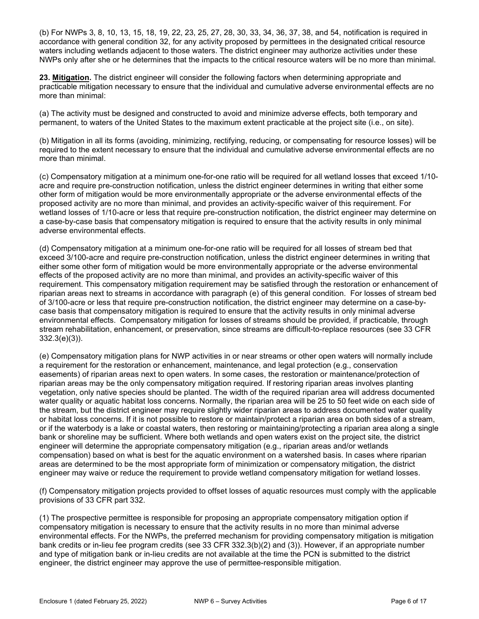(b) For NWPs 3, 8, 10, 13, 15, 18, 19, 22, 23, 25, 27, 28, 30, 33, 34, 36, 37, 38, and 54, notification is required in accordance with general condition 32, for any activity proposed by permittees in the designated critical resource waters including wetlands adjacent to those waters. The district engineer may authorize activities under these NWPs only after she or he determines that the impacts to the critical resource waters will be no more than minimal.

23. Mitigation. The district engineer will consider the following factors when determining appropriate and practicable mitigation necessary to ensure that the individual and cumulative adverse environmental effects are no more than minimal:

(a) The activity must be designed and constructed to avoid and minimize adverse effects, both temporary and permanent, to waters of the United States to the maximum extent practicable at the project site (i.e., on site).

(b) Mitigation in all its forms (avoiding, minimizing, rectifying, reducing, or compensating for resource losses) will be required to the extent necessary to ensure that the individual and cumulative adverse environmental effects are no more than minimal.

(c) Compensatory mitigation at a minimum one-for-one ratio will be required for all wetland losses that exceed 1/10 acre and require pre-construction notification, unless the district engineer determines in writing that either some other form of mitigation would be more environmentally appropriate or the adverse environmental effects of the proposed activity are no more than minimal, and provides an activity-specific waiver of this requirement. For wetland losses of 1/10-acre or less that require pre-construction notification, the district engineer may determine on a case-by-case basis that compensatory mitigation is required to ensure that the activity results in only minimal adverse environmental effects.

(d) Compensatory mitigation at a minimum one-for-one ratio will be required for all losses of stream bed that exceed 3/100-acre and require pre-construction notification, unless the district engineer determines in writing that either some other form of mitigation would be more environmentally appropriate or the adverse environmental effects of the proposed activity are no more than minimal, and provides an activity-specific waiver of this requirement. This compensatory mitigation requirement may be satisfied through the restoration or enhancement of riparian areas next to streams in accordance with paragraph (e) of this general condition. For losses of stream bed of 3/100-acre or less that require pre-construction notification, the district engineer may determine on a case-bycase basis that compensatory mitigation is required to ensure that the activity results in only minimal adverse environmental effects. Compensatory mitigation for losses of streams should be provided, if practicable, through stream rehabilitation, enhancement, or preservation, since streams are difficult-to-replace resources (see 33 CFR 332.3(e)(3)).

(e) Compensatory mitigation plans for NWP activities in or near streams or other open waters will normally include a requirement for the restoration or enhancement, maintenance, and legal protection (e.g., conservation easements) of riparian areas next to open waters. In some cases, the restoration or maintenance/protection of riparian areas may be the only compensatory mitigation required. If restoring riparian areas involves planting vegetation, only native species should be planted. The width of the required riparian area will address documented water quality or aquatic habitat loss concerns. Normally, the riparian area will be 25 to 50 feet wide on each side of the stream, but the district engineer may require slightly wider riparian areas to address documented water quality or habitat loss concerns. If it is not possible to restore or maintain/protect a riparian area on both sides of a stream, or if the waterbody is a lake or coastal waters, then restoring or maintaining/protecting a riparian area along a single bank or shoreline may be sufficient. Where both wetlands and open waters exist on the project site, the district engineer will determine the appropriate compensatory mitigation (e.g., riparian areas and/or wetlands compensation) based on what is best for the aquatic environment on a watershed basis. In cases where riparian areas are determined to be the most appropriate form of minimization or compensatory mitigation, the district engineer may waive or reduce the requirement to provide wetland compensatory mitigation for wetland losses.

(f) Compensatory mitigation projects provided to offset losses of aquatic resources must comply with the applicable provisions of 33 CFR part 332.

(1) The prospective permittee is responsible for proposing an appropriate compensatory mitigation option if compensatory mitigation is necessary to ensure that the activity results in no more than minimal adverse environmental effects. For the NWPs, the preferred mechanism for providing compensatory mitigation is mitigation bank credits or in-lieu fee program credits (see 33 CFR 332.3(b)(2) and (3)). However, if an appropriate number and type of mitigation bank or in-lieu credits are not available at the time the PCN is submitted to the district engineer, the district engineer may approve the use of permittee-responsible mitigation.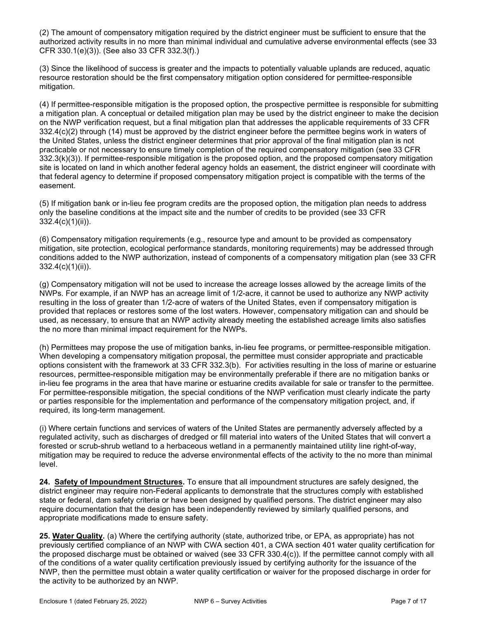(2) The amount of compensatory mitigation required by the district engineer must be sufficient to ensure that the authorized activity results in no more than minimal individual and cumulative adverse environmental effects (see 33 CFR 330.1(e)(3)). (See also 33 CFR 332.3(f).)

(3) Since the likelihood of success is greater and the impacts to potentially valuable uplands are reduced, aquatic resource restoration should be the first compensatory mitigation option considered for permittee-responsible mitigation.

(4) If permittee-responsible mitigation is the proposed option, the prospective permittee is responsible for submitting a mitigation plan. A conceptual or detailed mitigation plan may be used by the district engineer to make the decision on the NWP verification request, but a final mitigation plan that addresses the applicable requirements of 33 CFR 332.4(c)(2) through (14) must be approved by the district engineer before the permittee begins work in waters of the United States, unless the district engineer determines that prior approval of the final mitigation plan is not practicable or not necessary to ensure timely completion of the required compensatory mitigation (see 33 CFR 332.3(k)(3)). If permittee-responsible mitigation is the proposed option, and the proposed compensatory mitigation site is located on land in which another federal agency holds an easement, the district engineer will coordinate with that federal agency to determine if proposed compensatory mitigation project is compatible with the terms of the easement.

(5) If mitigation bank or in-lieu fee program credits are the proposed option, the mitigation plan needs to address only the baseline conditions at the impact site and the number of credits to be provided (see 33 CFR 332.4(c)(1)(ii)).

(6) Compensatory mitigation requirements (e.g., resource type and amount to be provided as compensatory mitigation, site protection, ecological performance standards, monitoring requirements) may be addressed through conditions added to the NWP authorization, instead of components of a compensatory mitigation plan (see 33 CFR 332.4(c)(1)(ii)).

(g) Compensatory mitigation will not be used to increase the acreage losses allowed by the acreage limits of the NWPs. For example, if an NWP has an acreage limit of 1/2-acre, it cannot be used to authorize any NWP activity resulting in the loss of greater than 1/2-acre of waters of the United States, even if compensatory mitigation is provided that replaces or restores some of the lost waters. However, compensatory mitigation can and should be used, as necessary, to ensure that an NWP activity already meeting the established acreage limits also satisfies the no more than minimal impact requirement for the NWPs.

(h) Permittees may propose the use of mitigation banks, in-lieu fee programs, or permittee-responsible mitigation. When developing a compensatory mitigation proposal, the permittee must consider appropriate and practicable options consistent with the framework at 33 CFR 332.3(b). For activities resulting in the loss of marine or estuarine resources, permittee-responsible mitigation may be environmentally preferable if there are no mitigation banks or in-lieu fee programs in the area that have marine or estuarine credits available for sale or transfer to the permittee. For permittee-responsible mitigation, the special conditions of the NWP verification must clearly indicate the party or parties responsible for the implementation and performance of the compensatory mitigation project, and, if required, its long-term management.

(i) Where certain functions and services of waters of the United States are permanently adversely affected by a regulated activity, such as discharges of dredged or fill material into waters of the United States that will convert a forested or scrub-shrub wetland to a herbaceous wetland in a permanently maintained utility line right-of-way, mitigation may be required to reduce the adverse environmental effects of the activity to the no more than minimal level.

24. Safety of Impoundment Structures. To ensure that all impoundment structures are safely designed, the district engineer may require non-Federal applicants to demonstrate that the structures comply with established state or federal, dam safety criteria or have been designed by qualified persons. The district engineer may also require documentation that the design has been independently reviewed by similarly qualified persons, and appropriate modifications made to ensure safety.

25. Water Quality. (a) Where the certifying authority (state, authorized tribe, or EPA, as appropriate) has not previously certified compliance of an NWP with CWA section 401, a CWA section 401 water quality certification for the proposed discharge must be obtained or waived (see 33 CFR 330.4(c)). If the permittee cannot comply with all of the conditions of a water quality certification previously issued by certifying authority for the issuance of the NWP, then the permittee must obtain a water quality certification or waiver for the proposed discharge in order for the activity to be authorized by an NWP.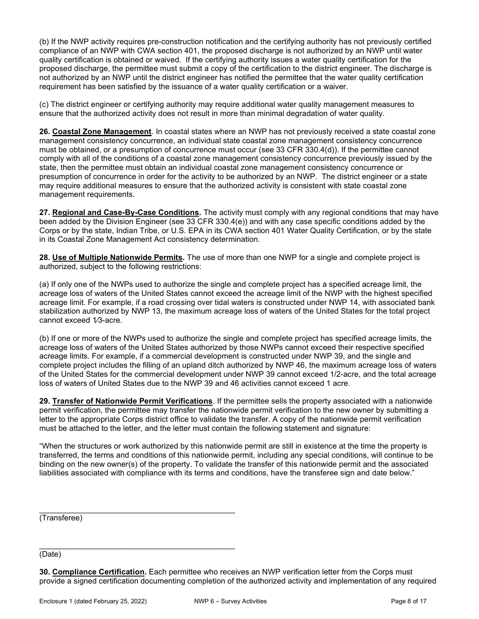(b) If the NWP activity requires pre-construction notification and the certifying authority has not previously certified compliance of an NWP with CWA section 401, the proposed discharge is not authorized by an NWP until water quality certification is obtained or waived. If the certifying authority issues a water quality certification for the proposed discharge, the permittee must submit a copy of the certification to the district engineer. The discharge is not authorized by an NWP until the district engineer has notified the permittee that the water quality certification requirement has been satisfied by the issuance of a water quality certification or a waiver.

(c) The district engineer or certifying authority may require additional water quality management measures to ensure that the authorized activity does not result in more than minimal degradation of water quality.

26. Coastal Zone Management. In coastal states where an NWP has not previously received a state coastal zone management consistency concurrence, an individual state coastal zone management consistency concurrence must be obtained, or a presumption of concurrence must occur (see 33 CFR 330.4(d)). If the permittee cannot comply with all of the conditions of a coastal zone management consistency concurrence previously issued by the state, then the permittee must obtain an individual coastal zone management consistency concurrence or presumption of concurrence in order for the activity to be authorized by an NWP. The district engineer or a state may require additional measures to ensure that the authorized activity is consistent with state coastal zone management requirements.

27. Regional and Case-By-Case Conditions. The activity must comply with any regional conditions that may have been added by the Division Engineer (see 33 CFR 330.4(e)) and with any case specific conditions added by the Corps or by the state, Indian Tribe, or U.S. EPA in its CWA section 401 Water Quality Certification, or by the state in its Coastal Zone Management Act consistency determination.

28. Use of Multiple Nationwide Permits. The use of more than one NWP for a single and complete project is authorized, subject to the following restrictions:

(a) If only one of the NWPs used to authorize the single and complete project has a specified acreage limit, the acreage loss of waters of the United States cannot exceed the acreage limit of the NWP with the highest specified acreage limit. For example, if a road crossing over tidal waters is constructed under NWP 14, with associated bank stabilization authorized by NWP 13, the maximum acreage loss of waters of the United States for the total project cannot exceed 1/3-acre.

(b) If one or more of the NWPs used to authorize the single and complete project has specified acreage limits, the acreage loss of waters of the United States authorized by those NWPs cannot exceed their respective specified acreage limits. For example, if a commercial development is constructed under NWP 39, and the single and complete project includes the filling of an upland ditch authorized by NWP 46, the maximum acreage loss of waters of the United States for the commercial development under NWP 39 cannot exceed 1/2-acre, and the total acreage loss of waters of United States due to the NWP 39 and 46 activities cannot exceed 1 acre.

29. Transfer of Nationwide Permit Verifications. If the permittee sells the property associated with a nationwide permit verification, the permittee may transfer the nationwide permit verification to the new owner by submitting a letter to the appropriate Corps district office to validate the transfer. A copy of the nationwide permit verification must be attached to the letter, and the letter must contain the following statement and signature:

"When the structures or work authorized by this nationwide permit are still in existence at the time the property is transferred, the terms and conditions of this nationwide permit, including any special conditions, will continue to be binding on the new owner(s) of the property. To validate the transfer of this nationwide permit and the associated liabilities associated with compliance with its terms and conditions, have the transferee sign and date below."

(Transferee)

(Date)

30. Compliance Certification. Each permittee who receives an NWP verification letter from the Corps must provide a signed certification documenting completion of the authorized activity and implementation of any required

\_\_\_\_\_\_\_\_\_\_\_\_\_\_\_\_\_\_\_\_\_\_\_\_\_\_\_\_\_\_\_\_\_\_\_\_\_\_\_\_\_\_\_\_\_

\_\_\_\_\_\_\_\_\_\_\_\_\_\_\_\_\_\_\_\_\_\_\_\_\_\_\_\_\_\_\_\_\_\_\_\_\_\_\_\_\_\_\_\_\_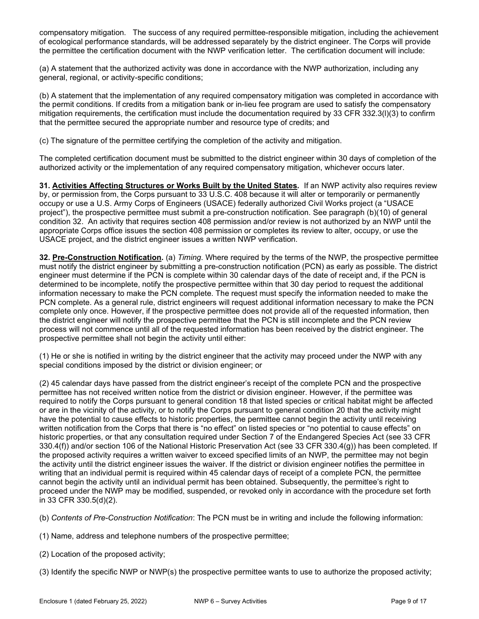compensatory mitigation. The success of any required permittee-responsible mitigation, including the achievement of ecological performance standards, will be addressed separately by the district engineer. The Corps will provide the permittee the certification document with the NWP verification letter. The certification document will include:

(a) A statement that the authorized activity was done in accordance with the NWP authorization, including any general, regional, or activity-specific conditions;

(b) A statement that the implementation of any required compensatory mitigation was completed in accordance with the permit conditions. If credits from a mitigation bank or in-lieu fee program are used to satisfy the compensatory mitigation requirements, the certification must include the documentation required by 33 CFR 332.3(l)(3) to confirm that the permittee secured the appropriate number and resource type of credits; and

(c) The signature of the permittee certifying the completion of the activity and mitigation.

The completed certification document must be submitted to the district engineer within 30 days of completion of the authorized activity or the implementation of any required compensatory mitigation, whichever occurs later.

31. Activities Affecting Structures or Works Built by the United States. If an NWP activity also requires review by, or permission from, the Corps pursuant to 33 U.S.C. 408 because it will alter or temporarily or permanently occupy or use a U.S. Army Corps of Engineers (USACE) federally authorized Civil Works project (a "USACE project"), the prospective permittee must submit a pre-construction notification. See paragraph (b)(10) of general condition 32. An activity that requires section 408 permission and/or review is not authorized by an NWP until the appropriate Corps office issues the section 408 permission or completes its review to alter, occupy, or use the USACE project, and the district engineer issues a written NWP verification.

32. Pre-Construction Notification. (a) Timing. Where required by the terms of the NWP, the prospective permittee must notify the district engineer by submitting a pre-construction notification (PCN) as early as possible. The district engineer must determine if the PCN is complete within 30 calendar days of the date of receipt and, if the PCN is determined to be incomplete, notify the prospective permittee within that 30 day period to request the additional information necessary to make the PCN complete. The request must specify the information needed to make the PCN complete. As a general rule, district engineers will request additional information necessary to make the PCN complete only once. However, if the prospective permittee does not provide all of the requested information, then the district engineer will notify the prospective permittee that the PCN is still incomplete and the PCN review process will not commence until all of the requested information has been received by the district engineer. The prospective permittee shall not begin the activity until either:

(1) He or she is notified in writing by the district engineer that the activity may proceed under the NWP with any special conditions imposed by the district or division engineer; or

(2) 45 calendar days have passed from the district engineer's receipt of the complete PCN and the prospective permittee has not received written notice from the district or division engineer. However, if the permittee was required to notify the Corps pursuant to general condition 18 that listed species or critical habitat might be affected or are in the vicinity of the activity, or to notify the Corps pursuant to general condition 20 that the activity might have the potential to cause effects to historic properties, the permittee cannot begin the activity until receiving written notification from the Corps that there is "no effect" on listed species or "no potential to cause effects" on historic properties, or that any consultation required under Section 7 of the Endangered Species Act (see 33 CFR 330.4(f)) and/or section 106 of the National Historic Preservation Act (see 33 CFR 330.4(g)) has been completed. If the proposed activity requires a written waiver to exceed specified limits of an NWP, the permittee may not begin the activity until the district engineer issues the waiver. If the district or division engineer notifies the permittee in writing that an individual permit is required within 45 calendar days of receipt of a complete PCN, the permittee cannot begin the activity until an individual permit has been obtained. Subsequently, the permittee's right to proceed under the NWP may be modified, suspended, or revoked only in accordance with the procedure set forth in 33 CFR 330.5(d)(2).

(b) Contents of Pre-Construction Notification: The PCN must be in writing and include the following information:

- (1) Name, address and telephone numbers of the prospective permittee;
- (2) Location of the proposed activity;

(3) Identify the specific NWP or NWP(s) the prospective permittee wants to use to authorize the proposed activity;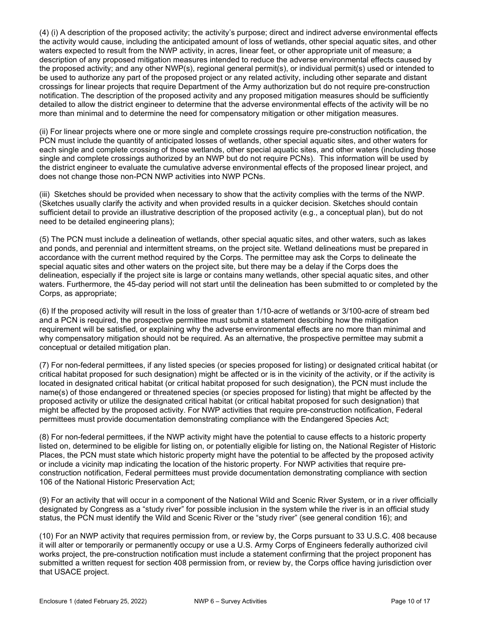(4) (i) A description of the proposed activity; the activity's purpose; direct and indirect adverse environmental effects the activity would cause, including the anticipated amount of loss of wetlands, other special aquatic sites, and other waters expected to result from the NWP activity, in acres, linear feet, or other appropriate unit of measure; a description of any proposed mitigation measures intended to reduce the adverse environmental effects caused by the proposed activity; and any other NWP(s), regional general permit(s), or individual permit(s) used or intended to be used to authorize any part of the proposed project or any related activity, including other separate and distant crossings for linear projects that require Department of the Army authorization but do not require pre-construction notification. The description of the proposed activity and any proposed mitigation measures should be sufficiently detailed to allow the district engineer to determine that the adverse environmental effects of the activity will be no more than minimal and to determine the need for compensatory mitigation or other mitigation measures.

(ii) For linear projects where one or more single and complete crossings require pre-construction notification, the PCN must include the quantity of anticipated losses of wetlands, other special aquatic sites, and other waters for each single and complete crossing of those wetlands, other special aquatic sites, and other waters (including those single and complete crossings authorized by an NWP but do not require PCNs). This information will be used by the district engineer to evaluate the cumulative adverse environmental effects of the proposed linear project, and does not change those non-PCN NWP activities into NWP PCNs.

(iii) Sketches should be provided when necessary to show that the activity complies with the terms of the NWP. (Sketches usually clarify the activity and when provided results in a quicker decision. Sketches should contain sufficient detail to provide an illustrative description of the proposed activity (e.g., a conceptual plan), but do not need to be detailed engineering plans);

(5) The PCN must include a delineation of wetlands, other special aquatic sites, and other waters, such as lakes and ponds, and perennial and intermittent streams, on the project site. Wetland delineations must be prepared in accordance with the current method required by the Corps. The permittee may ask the Corps to delineate the special aquatic sites and other waters on the project site, but there may be a delay if the Corps does the delineation, especially if the project site is large or contains many wetlands, other special aquatic sites, and other waters. Furthermore, the 45-day period will not start until the delineation has been submitted to or completed by the Corps, as appropriate;

(6) If the proposed activity will result in the loss of greater than 1/10-acre of wetlands or 3/100-acre of stream bed and a PCN is required, the prospective permittee must submit a statement describing how the mitigation requirement will be satisfied, or explaining why the adverse environmental effects are no more than minimal and why compensatory mitigation should not be required. As an alternative, the prospective permittee may submit a conceptual or detailed mitigation plan.

(7) For non-federal permittees, if any listed species (or species proposed for listing) or designated critical habitat (or critical habitat proposed for such designation) might be affected or is in the vicinity of the activity, or if the activity is located in designated critical habitat (or critical habitat proposed for such designation), the PCN must include the name(s) of those endangered or threatened species (or species proposed for listing) that might be affected by the proposed activity or utilize the designated critical habitat (or critical habitat proposed for such designation) that might be affected by the proposed activity. For NWP activities that require pre-construction notification, Federal permittees must provide documentation demonstrating compliance with the Endangered Species Act;

(8) For non-federal permittees, if the NWP activity might have the potential to cause effects to a historic property listed on, determined to be eligible for listing on, or potentially eligible for listing on, the National Register of Historic Places, the PCN must state which historic property might have the potential to be affected by the proposed activity or include a vicinity map indicating the location of the historic property. For NWP activities that require preconstruction notification, Federal permittees must provide documentation demonstrating compliance with section 106 of the National Historic Preservation Act;

(9) For an activity that will occur in a component of the National Wild and Scenic River System, or in a river officially designated by Congress as a "study river" for possible inclusion in the system while the river is in an official study status, the PCN must identify the Wild and Scenic River or the "study river" (see general condition 16); and

(10) For an NWP activity that requires permission from, or review by, the Corps pursuant to 33 U.S.C. 408 because it will alter or temporarily or permanently occupy or use a U.S. Army Corps of Engineers federally authorized civil works project, the pre-construction notification must include a statement confirming that the project proponent has submitted a written request for section 408 permission from, or review by, the Corps office having jurisdiction over that USACE project.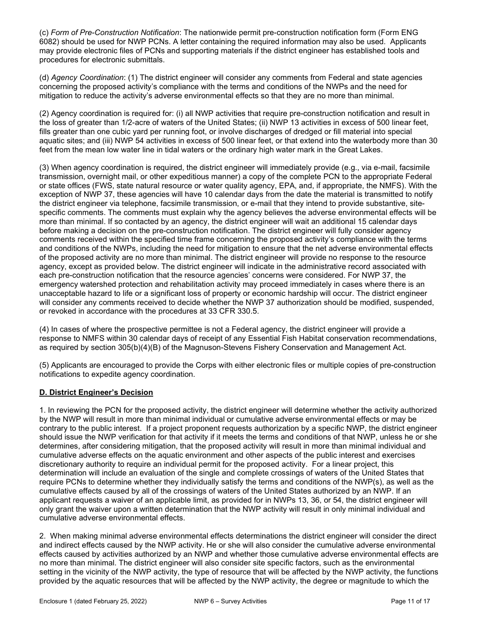(c) Form of Pre-Construction Notification: The nationwide permit pre-construction notification form (Form ENG 6082) should be used for NWP PCNs. A letter containing the required information may also be used. Applicants may provide electronic files of PCNs and supporting materials if the district engineer has established tools and procedures for electronic submittals.

(d) Agency Coordination: (1) The district engineer will consider any comments from Federal and state agencies concerning the proposed activity's compliance with the terms and conditions of the NWPs and the need for mitigation to reduce the activity's adverse environmental effects so that they are no more than minimal.

(2) Agency coordination is required for: (i) all NWP activities that require pre-construction notification and result in the loss of greater than 1/2-acre of waters of the United States; (ii) NWP 13 activities in excess of 500 linear feet, fills greater than one cubic yard per running foot, or involve discharges of dredged or fill material into special aquatic sites; and (iii) NWP 54 activities in excess of 500 linear feet, or that extend into the waterbody more than 30 feet from the mean low water line in tidal waters or the ordinary high water mark in the Great Lakes.

(3) When agency coordination is required, the district engineer will immediately provide (e.g., via e-mail, facsimile transmission, overnight mail, or other expeditious manner) a copy of the complete PCN to the appropriate Federal or state offices (FWS, state natural resource or water quality agency, EPA, and, if appropriate, the NMFS). With the exception of NWP 37, these agencies will have 10 calendar days from the date the material is transmitted to notify the district engineer via telephone, facsimile transmission, or e-mail that they intend to provide substantive, sitespecific comments. The comments must explain why the agency believes the adverse environmental effects will be more than minimal. If so contacted by an agency, the district engineer will wait an additional 15 calendar days before making a decision on the pre-construction notification. The district engineer will fully consider agency comments received within the specified time frame concerning the proposed activity's compliance with the terms and conditions of the NWPs, including the need for mitigation to ensure that the net adverse environmental effects of the proposed activity are no more than minimal. The district engineer will provide no response to the resource agency, except as provided below. The district engineer will indicate in the administrative record associated with each pre-construction notification that the resource agencies' concerns were considered. For NWP 37, the emergency watershed protection and rehabilitation activity may proceed immediately in cases where there is an unacceptable hazard to life or a significant loss of property or economic hardship will occur. The district engineer will consider any comments received to decide whether the NWP 37 authorization should be modified, suspended, or revoked in accordance with the procedures at 33 CFR 330.5.

(4) In cases of where the prospective permittee is not a Federal agency, the district engineer will provide a response to NMFS within 30 calendar days of receipt of any Essential Fish Habitat conservation recommendations, as required by section 305(b)(4)(B) of the Magnuson-Stevens Fishery Conservation and Management Act.

(5) Applicants are encouraged to provide the Corps with either electronic files or multiple copies of pre-construction notifications to expedite agency coordination.

# D. District Engineer's Decision

1. In reviewing the PCN for the proposed activity, the district engineer will determine whether the activity authorized by the NWP will result in more than minimal individual or cumulative adverse environmental effects or may be contrary to the public interest. If a project proponent requests authorization by a specific NWP, the district engineer should issue the NWP verification for that activity if it meets the terms and conditions of that NWP, unless he or she determines, after considering mitigation, that the proposed activity will result in more than minimal individual and cumulative adverse effects on the aquatic environment and other aspects of the public interest and exercises discretionary authority to require an individual permit for the proposed activity. For a linear project, this determination will include an evaluation of the single and complete crossings of waters of the United States that require PCNs to determine whether they individually satisfy the terms and conditions of the NWP(s), as well as the cumulative effects caused by all of the crossings of waters of the United States authorized by an NWP. If an applicant requests a waiver of an applicable limit, as provided for in NWPs 13, 36, or 54, the district engineer will only grant the waiver upon a written determination that the NWP activity will result in only minimal individual and cumulative adverse environmental effects.

2. When making minimal adverse environmental effects determinations the district engineer will consider the direct and indirect effects caused by the NWP activity. He or she will also consider the cumulative adverse environmental effects caused by activities authorized by an NWP and whether those cumulative adverse environmental effects are no more than minimal. The district engineer will also consider site specific factors, such as the environmental setting in the vicinity of the NWP activity, the type of resource that will be affected by the NWP activity, the functions provided by the aquatic resources that will be affected by the NWP activity, the degree or magnitude to which the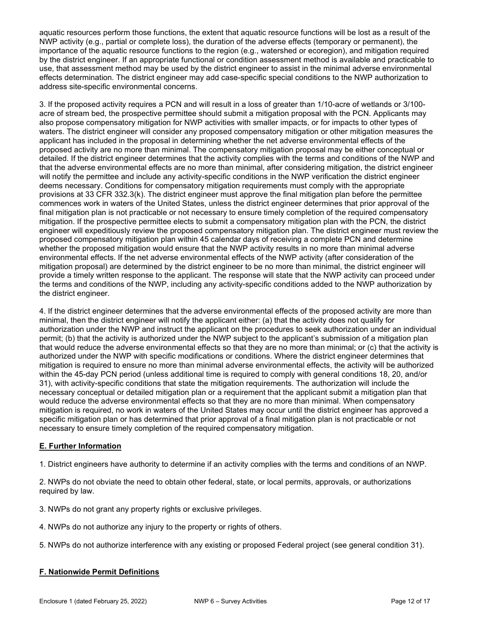aquatic resources perform those functions, the extent that aquatic resource functions will be lost as a result of the NWP activity (e.g., partial or complete loss), the duration of the adverse effects (temporary or permanent), the importance of the aquatic resource functions to the region (e.g., watershed or ecoregion), and mitigation required by the district engineer. If an appropriate functional or condition assessment method is available and practicable to use, that assessment method may be used by the district engineer to assist in the minimal adverse environmental effects determination. The district engineer may add case-specific special conditions to the NWP authorization to address site-specific environmental concerns.

3. If the proposed activity requires a PCN and will result in a loss of greater than 1/10-acre of wetlands or 3/100 acre of stream bed, the prospective permittee should submit a mitigation proposal with the PCN. Applicants may also propose compensatory mitigation for NWP activities with smaller impacts, or for impacts to other types of waters. The district engineer will consider any proposed compensatory mitigation or other mitigation measures the applicant has included in the proposal in determining whether the net adverse environmental effects of the proposed activity are no more than minimal. The compensatory mitigation proposal may be either conceptual or detailed. If the district engineer determines that the activity complies with the terms and conditions of the NWP and that the adverse environmental effects are no more than minimal, after considering mitigation, the district engineer will notify the permittee and include any activity-specific conditions in the NWP verification the district engineer deems necessary. Conditions for compensatory mitigation requirements must comply with the appropriate provisions at 33 CFR 332.3(k). The district engineer must approve the final mitigation plan before the permittee commences work in waters of the United States, unless the district engineer determines that prior approval of the final mitigation plan is not practicable or not necessary to ensure timely completion of the required compensatory mitigation. If the prospective permittee elects to submit a compensatory mitigation plan with the PCN, the district engineer will expeditiously review the proposed compensatory mitigation plan. The district engineer must review the proposed compensatory mitigation plan within 45 calendar days of receiving a complete PCN and determine whether the proposed mitigation would ensure that the NWP activity results in no more than minimal adverse environmental effects. If the net adverse environmental effects of the NWP activity (after consideration of the mitigation proposal) are determined by the district engineer to be no more than minimal, the district engineer will provide a timely written response to the applicant. The response will state that the NWP activity can proceed under the terms and conditions of the NWP, including any activity-specific conditions added to the NWP authorization by the district engineer.

4. If the district engineer determines that the adverse environmental effects of the proposed activity are more than minimal, then the district engineer will notify the applicant either: (a) that the activity does not qualify for authorization under the NWP and instruct the applicant on the procedures to seek authorization under an individual permit; (b) that the activity is authorized under the NWP subject to the applicant's submission of a mitigation plan that would reduce the adverse environmental effects so that they are no more than minimal; or (c) that the activity is authorized under the NWP with specific modifications or conditions. Where the district engineer determines that mitigation is required to ensure no more than minimal adverse environmental effects, the activity will be authorized within the 45-day PCN period (unless additional time is required to comply with general conditions 18, 20, and/or 31), with activity-specific conditions that state the mitigation requirements. The authorization will include the necessary conceptual or detailed mitigation plan or a requirement that the applicant submit a mitigation plan that would reduce the adverse environmental effects so that they are no more than minimal. When compensatory mitigation is required, no work in waters of the United States may occur until the district engineer has approved a specific mitigation plan or has determined that prior approval of a final mitigation plan is not practicable or not necessary to ensure timely completion of the required compensatory mitigation.

# E. Further Information

1. District engineers have authority to determine if an activity complies with the terms and conditions of an NWP.

2. NWPs do not obviate the need to obtain other federal, state, or local permits, approvals, or authorizations required by law.

3. NWPs do not grant any property rights or exclusive privileges.

- 4. NWPs do not authorize any injury to the property or rights of others.
- 5. NWPs do not authorize interference with any existing or proposed Federal project (see general condition 31).

# F. Nationwide Permit Definitions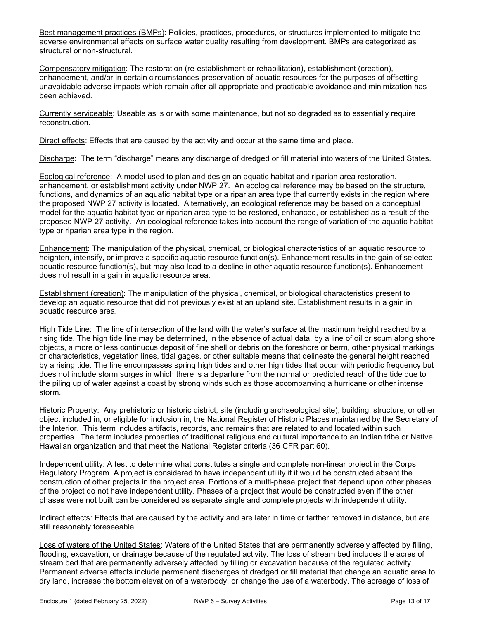Best management practices (BMPs): Policies, practices, procedures, or structures implemented to mitigate the adverse environmental effects on surface water quality resulting from development. BMPs are categorized as structural or non-structural.

Compensatory mitigation: The restoration (re-establishment or rehabilitation), establishment (creation), enhancement, and/or in certain circumstances preservation of aquatic resources for the purposes of offsetting unavoidable adverse impacts which remain after all appropriate and practicable avoidance and minimization has been achieved.

Currently serviceable: Useable as is or with some maintenance, but not so degraded as to essentially require reconstruction.

Direct effects: Effects that are caused by the activity and occur at the same time and place.

Discharge: The term "discharge" means any discharge of dredged or fill material into waters of the United States.

Ecological reference: A model used to plan and design an aquatic habitat and riparian area restoration, enhancement, or establishment activity under NWP 27. An ecological reference may be based on the structure, functions, and dynamics of an aquatic habitat type or a riparian area type that currently exists in the region where the proposed NWP 27 activity is located. Alternatively, an ecological reference may be based on a conceptual model for the aquatic habitat type or riparian area type to be restored, enhanced, or established as a result of the proposed NWP 27 activity. An ecological reference takes into account the range of variation of the aquatic habitat type or riparian area type in the region.

Enhancement: The manipulation of the physical, chemical, or biological characteristics of an aquatic resource to heighten, intensify, or improve a specific aquatic resource function(s). Enhancement results in the gain of selected aquatic resource function(s), but may also lead to a decline in other aquatic resource function(s). Enhancement does not result in a gain in aquatic resource area.

Establishment (creation): The manipulation of the physical, chemical, or biological characteristics present to develop an aquatic resource that did not previously exist at an upland site. Establishment results in a gain in aquatic resource area.

High Tide Line: The line of intersection of the land with the water's surface at the maximum height reached by a rising tide. The high tide line may be determined, in the absence of actual data, by a line of oil or scum along shore objects, a more or less continuous deposit of fine shell or debris on the foreshore or berm, other physical markings or characteristics, vegetation lines, tidal gages, or other suitable means that delineate the general height reached by a rising tide. The line encompasses spring high tides and other high tides that occur with periodic frequency but does not include storm surges in which there is a departure from the normal or predicted reach of the tide due to the piling up of water against a coast by strong winds such as those accompanying a hurricane or other intense storm.

Historic Property: Any prehistoric or historic district, site (including archaeological site), building, structure, or other object included in, or eligible for inclusion in, the National Register of Historic Places maintained by the Secretary of the Interior. This term includes artifacts, records, and remains that are related to and located within such properties. The term includes properties of traditional religious and cultural importance to an Indian tribe or Native Hawaiian organization and that meet the National Register criteria (36 CFR part 60).

Independent utility: A test to determine what constitutes a single and complete non-linear project in the Corps Regulatory Program. A project is considered to have independent utility if it would be constructed absent the construction of other projects in the project area. Portions of a multi-phase project that depend upon other phases of the project do not have independent utility. Phases of a project that would be constructed even if the other phases were not built can be considered as separate single and complete projects with independent utility.

Indirect effects: Effects that are caused by the activity and are later in time or farther removed in distance, but are still reasonably foreseeable.

Loss of waters of the United States: Waters of the United States that are permanently adversely affected by filling, flooding, excavation, or drainage because of the regulated activity. The loss of stream bed includes the acres of stream bed that are permanently adversely affected by filling or excavation because of the regulated activity. Permanent adverse effects include permanent discharges of dredged or fill material that change an aquatic area to dry land, increase the bottom elevation of a waterbody, or change the use of a waterbody. The acreage of loss of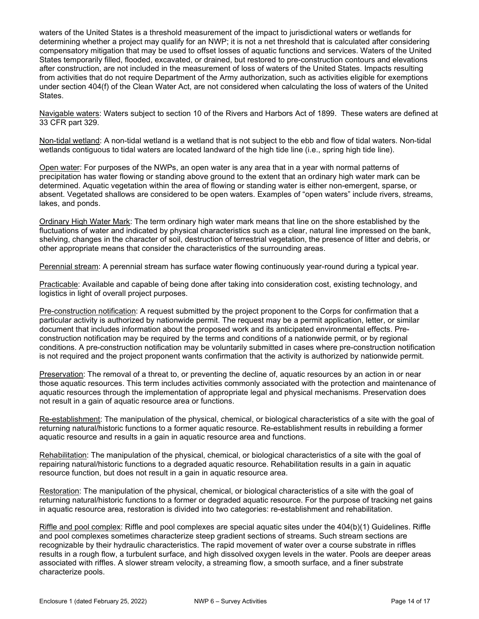waters of the United States is a threshold measurement of the impact to jurisdictional waters or wetlands for determining whether a project may qualify for an NWP; it is not a net threshold that is calculated after considering compensatory mitigation that may be used to offset losses of aquatic functions and services. Waters of the United States temporarily filled, flooded, excavated, or drained, but restored to pre-construction contours and elevations after construction, are not included in the measurement of loss of waters of the United States. Impacts resulting from activities that do not require Department of the Army authorization, such as activities eligible for exemptions under section 404(f) of the Clean Water Act, are not considered when calculating the loss of waters of the United States.

Navigable waters: Waters subject to section 10 of the Rivers and Harbors Act of 1899. These waters are defined at 33 CFR part 329.

Non-tidal wetland: A non-tidal wetland is a wetland that is not subject to the ebb and flow of tidal waters. Non-tidal wetlands contiguous to tidal waters are located landward of the high tide line (i.e., spring high tide line).

Open water: For purposes of the NWPs, an open water is any area that in a year with normal patterns of precipitation has water flowing or standing above ground to the extent that an ordinary high water mark can be determined. Aquatic vegetation within the area of flowing or standing water is either non-emergent, sparse, or absent. Vegetated shallows are considered to be open waters. Examples of "open waters" include rivers, streams, lakes, and ponds.

Ordinary High Water Mark: The term ordinary high water mark means that line on the shore established by the fluctuations of water and indicated by physical characteristics such as a clear, natural line impressed on the bank, shelving, changes in the character of soil, destruction of terrestrial vegetation, the presence of litter and debris, or other appropriate means that consider the characteristics of the surrounding areas.

Perennial stream: A perennial stream has surface water flowing continuously year-round during a typical year.

Practicable: Available and capable of being done after taking into consideration cost, existing technology, and logistics in light of overall project purposes.

Pre-construction notification: A request submitted by the project proponent to the Corps for confirmation that a particular activity is authorized by nationwide permit. The request may be a permit application, letter, or similar document that includes information about the proposed work and its anticipated environmental effects. Preconstruction notification may be required by the terms and conditions of a nationwide permit, or by regional conditions. A pre-construction notification may be voluntarily submitted in cases where pre-construction notification is not required and the project proponent wants confirmation that the activity is authorized by nationwide permit.

Preservation: The removal of a threat to, or preventing the decline of, aquatic resources by an action in or near those aquatic resources. This term includes activities commonly associated with the protection and maintenance of aquatic resources through the implementation of appropriate legal and physical mechanisms. Preservation does not result in a gain of aquatic resource area or functions.

Re-establishment: The manipulation of the physical, chemical, or biological characteristics of a site with the goal of returning natural/historic functions to a former aquatic resource. Re-establishment results in rebuilding a former aquatic resource and results in a gain in aquatic resource area and functions.

Rehabilitation: The manipulation of the physical, chemical, or biological characteristics of a site with the goal of repairing natural/historic functions to a degraded aquatic resource. Rehabilitation results in a gain in aquatic resource function, but does not result in a gain in aquatic resource area.

Restoration: The manipulation of the physical, chemical, or biological characteristics of a site with the goal of returning natural/historic functions to a former or degraded aquatic resource. For the purpose of tracking net gains in aquatic resource area, restoration is divided into two categories: re-establishment and rehabilitation.

Riffle and pool complex: Riffle and pool complexes are special aquatic sites under the 404(b)(1) Guidelines. Riffle and pool complexes sometimes characterize steep gradient sections of streams. Such stream sections are recognizable by their hydraulic characteristics. The rapid movement of water over a course substrate in riffles results in a rough flow, a turbulent surface, and high dissolved oxygen levels in the water. Pools are deeper areas associated with riffles. A slower stream velocity, a streaming flow, a smooth surface, and a finer substrate characterize pools.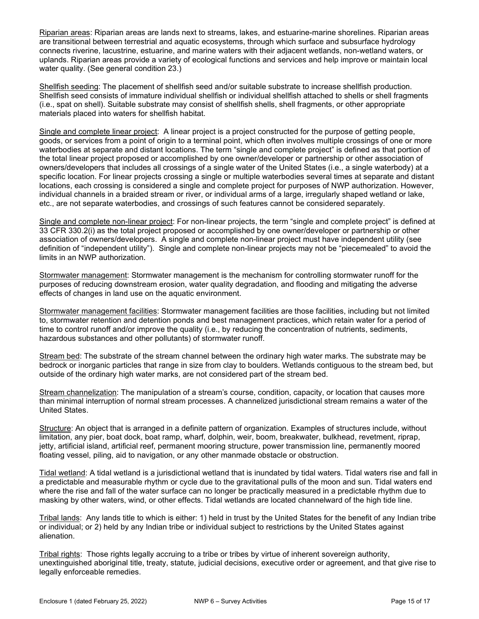Riparian areas: Riparian areas are lands next to streams, lakes, and estuarine-marine shorelines. Riparian areas are transitional between terrestrial and aquatic ecosystems, through which surface and subsurface hydrology connects riverine, lacustrine, estuarine, and marine waters with their adjacent wetlands, non-wetland waters, or uplands. Riparian areas provide a variety of ecological functions and services and help improve or maintain local water quality. (See general condition 23.)

Shellfish seeding: The placement of shellfish seed and/or suitable substrate to increase shellfish production. Shellfish seed consists of immature individual shellfish or individual shellfish attached to shells or shell fragments (i.e., spat on shell). Suitable substrate may consist of shellfish shells, shell fragments, or other appropriate materials placed into waters for shellfish habitat.

Single and complete linear project: A linear project is a project constructed for the purpose of getting people, goods, or services from a point of origin to a terminal point, which often involves multiple crossings of one or more waterbodies at separate and distant locations. The term "single and complete project" is defined as that portion of the total linear project proposed or accomplished by one owner/developer or partnership or other association of owners/developers that includes all crossings of a single water of the United States (i.e., a single waterbody) at a specific location. For linear projects crossing a single or multiple waterbodies several times at separate and distant locations, each crossing is considered a single and complete project for purposes of NWP authorization. However, individual channels in a braided stream or river, or individual arms of a large, irregularly shaped wetland or lake, etc., are not separate waterbodies, and crossings of such features cannot be considered separately.

Single and complete non-linear project: For non-linear projects, the term "single and complete project" is defined at 33 CFR 330.2(i) as the total project proposed or accomplished by one owner/developer or partnership or other association of owners/developers. A single and complete non-linear project must have independent utility (see definition of "independent utility"). Single and complete non-linear projects may not be "piecemealed" to avoid the limits in an NWP authorization.

Stormwater management: Stormwater management is the mechanism for controlling stormwater runoff for the purposes of reducing downstream erosion, water quality degradation, and flooding and mitigating the adverse effects of changes in land use on the aquatic environment.

Stormwater management facilities: Stormwater management facilities are those facilities, including but not limited to, stormwater retention and detention ponds and best management practices, which retain water for a period of time to control runoff and/or improve the quality (i.e., by reducing the concentration of nutrients, sediments, hazardous substances and other pollutants) of stormwater runoff.

Stream bed: The substrate of the stream channel between the ordinary high water marks. The substrate may be bedrock or inorganic particles that range in size from clay to boulders. Wetlands contiguous to the stream bed, but outside of the ordinary high water marks, are not considered part of the stream bed.

Stream channelization: The manipulation of a stream's course, condition, capacity, or location that causes more than minimal interruption of normal stream processes. A channelized jurisdictional stream remains a water of the United States.

Structure: An object that is arranged in a definite pattern of organization. Examples of structures include, without limitation, any pier, boat dock, boat ramp, wharf, dolphin, weir, boom, breakwater, bulkhead, revetment, riprap, jetty, artificial island, artificial reef, permanent mooring structure, power transmission line, permanently moored floating vessel, piling, aid to navigation, or any other manmade obstacle or obstruction.

Tidal wetland: A tidal wetland is a jurisdictional wetland that is inundated by tidal waters. Tidal waters rise and fall in a predictable and measurable rhythm or cycle due to the gravitational pulls of the moon and sun. Tidal waters end where the rise and fall of the water surface can no longer be practically measured in a predictable rhythm due to masking by other waters, wind, or other effects. Tidal wetlands are located channelward of the high tide line.

Tribal lands: Any lands title to which is either: 1) held in trust by the United States for the benefit of any Indian tribe or individual; or 2) held by any Indian tribe or individual subject to restrictions by the United States against alienation.

Tribal rights: Those rights legally accruing to a tribe or tribes by virtue of inherent sovereign authority, unextinguished aboriginal title, treaty, statute, judicial decisions, executive order or agreement, and that give rise to legally enforceable remedies.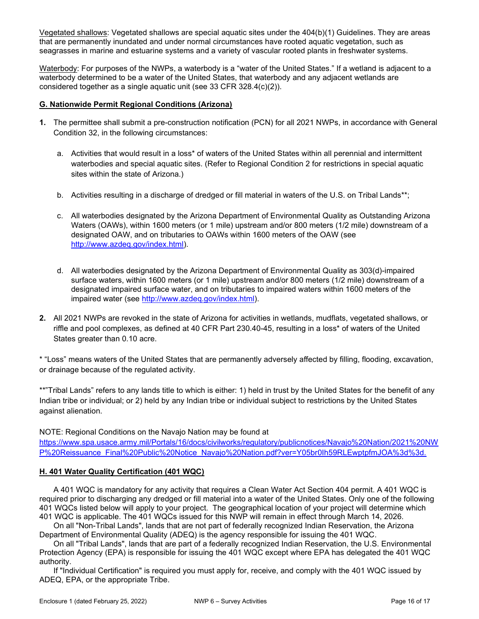Vegetated shallows: Vegetated shallows are special aquatic sites under the 404(b)(1) Guidelines. They are areas that are permanently inundated and under normal circumstances have rooted aquatic vegetation, such as seagrasses in marine and estuarine systems and a variety of vascular rooted plants in freshwater systems.

Waterbody: For purposes of the NWPs, a waterbody is a "water of the United States." If a wetland is adjacent to a waterbody determined to be a water of the United States, that waterbody and any adjacent wetlands are considered together as a single aquatic unit (see 33 CFR 328.4(c)(2)).

### G. Nationwide Permit Regional Conditions (Arizona)

- 1. The permittee shall submit a pre-construction notification (PCN) for all 2021 NWPs, in accordance with General Condition 32, in the following circumstances:
	- a. Activities that would result in a loss\* of waters of the United States within all perennial and intermittent waterbodies and special aquatic sites. (Refer to Regional Condition 2 for restrictions in special aquatic sites within the state of Arizona.)
	- b. Activities resulting in a discharge of dredged or fill material in waters of the U.S. on Tribal Lands\*\*;
	- c. All waterbodies designated by the Arizona Department of Environmental Quality as Outstanding Arizona Waters (OAWs), within 1600 meters (or 1 mile) upstream and/or 800 meters (1/2 mile) downstream of a designated OAW, and on tributaries to OAWs within 1600 meters of the OAW (see http://www.azdeq.gov/index.html).
	- d. All waterbodies designated by the Arizona Department of Environmental Quality as 303(d)-impaired surface waters, within 1600 meters (or 1 mile) upstream and/or 800 meters (1/2 mile) downstream of a designated impaired surface water, and on tributaries to impaired waters within 1600 meters of the impaired water (see http://www.azdeq.gov/index.html).
- 2. All 2021 NWPs are revoked in the state of Arizona for activities in wetlands, mudflats, vegetated shallows, or riffle and pool complexes, as defined at 40 CFR Part 230.40-45, resulting in a loss\* of waters of the United States greater than 0.10 acre.

\* "Loss" means waters of the United States that are permanently adversely affected by filling, flooding, excavation, or drainage because of the regulated activity.

\*\*"Tribal Lands" refers to any lands title to which is either: 1) held in trust by the United States for the benefit of any Indian tribe or individual; or 2) held by any Indian tribe or individual subject to restrictions by the United States against alienation.

NOTE: Regional Conditions on the Navajo Nation may be found at

https://www.spa.usace.army.mil/Portals/16/docs/civilworks/regulatory/publicnotices/Navajo%20Nation/2021%20NW P%20Reissuance\_Final%20Public%20Notice\_Navajo%20Nation.pdf?ver=Y05br0Ih59RLEwptpfmJOA%3d%3d.

#### H. 401 Water Quality Certification (401 WQC)

 A 401 WQC is mandatory for any activity that requires a Clean Water Act Section 404 permit. A 401 WQC is required prior to discharging any dredged or fill material into a water of the United States. Only one of the following 401 WQCs listed below will apply to your project. The geographical location of your project will determine which 401 WQC is applicable. The 401 WQCs issued for this NWP will remain in effect through March 14, 2026.

 On all "Non-Tribal Lands", lands that are not part of federally recognized Indian Reservation, the Arizona Department of Environmental Quality (ADEQ) is the agency responsible for issuing the 401 WQC.

 On all "Tribal Lands", lands that are part of a federally recognized Indian Reservation, the U.S. Environmental Protection Agency (EPA) is responsible for issuing the 401 WQC except where EPA has delegated the 401 WQC authority.

 If "Individual Certification" is required you must apply for, receive, and comply with the 401 WQC issued by ADEQ, EPA, or the appropriate Tribe.